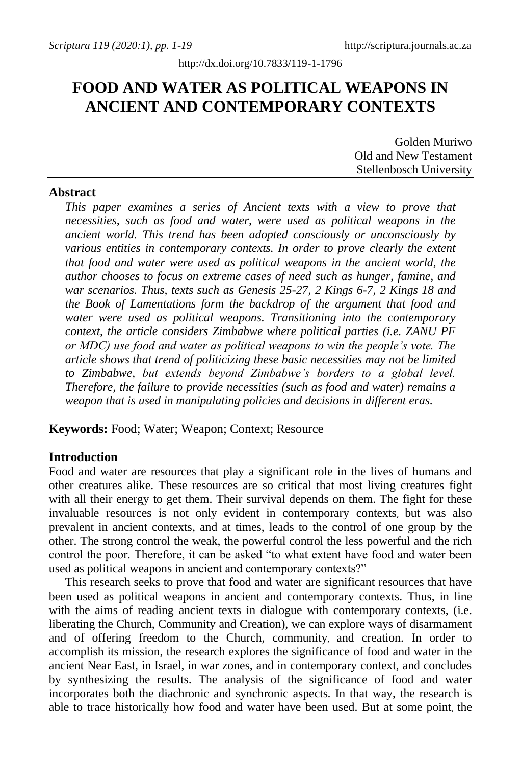# **FOOD AND WATER AS POLITICAL WEAPONS IN ANCIENT AND CONTEMPORARY CONTEXTS**

Golden Muriwo Old and New Testament Stellenbosch University

# **Abstract**

*This paper examines a series of Ancient texts with a view to prove that necessities, such as food and water, were used as political weapons in the ancient world. This trend has been adopted consciously or unconsciously by various entities in contemporary contexts. In order to prove clearly the extent that food and water were used as political weapons in the ancient world, the author chooses to focus on extreme cases of need such as hunger, famine, and war scenarios. Thus, texts such as Genesis 25-27, 2 Kings 6-7, 2 Kings 18 and the Book of Lamentations form the backdrop of the argument that food and water were used as political weapons. Transitioning into the contemporary context, the article considers Zimbabwe where political parties (i.e. ZANU PF or MDC) use food and water as political weapons to win the people's vote. The article shows that trend of politicizing these basic necessities may not be limited to Zimbabwe, but extends beyond Zimbabwe's borders to a global level. Therefore, the failure to provide necessities (such as food and water) remains a weapon that is used in manipulating policies and decisions in different eras.* 

**Keywords:** Food; Water; Weapon; Context; Resource

# **Introduction**

Food and water are resources that play a significant role in the lives of humans and other creatures alike. These resources are so critical that most living creatures fight with all their energy to get them. Their survival depends on them. The fight for these invaluable resources is not only evident in contemporary contexts, but was also prevalent in ancient contexts, and at times, leads to the control of one group by the other. The strong control the weak, the powerful control the less powerful and the rich control the poor. Therefore, it can be asked "to what extent have food and water been used as political weapons in ancient and contemporary contexts?"

This research seeks to prove that food and water are significant resources that have been used as political weapons in ancient and contemporary contexts. Thus, in line with the aims of reading ancient texts in dialogue with contemporary contexts, (i.e. liberating the Church, Community and Creation), we can explore ways of disarmament and of offering freedom to the Church, community, and creation. In order to accomplish its mission, the research explores the significance of food and water in the ancient Near East, in Israel, in war zones, and in contemporary context, and concludes by synthesizing the results. The analysis of the significance of food and water incorporates both the diachronic and synchronic aspects. In that way, the research is able to trace historically how food and water have been used. But at some point, the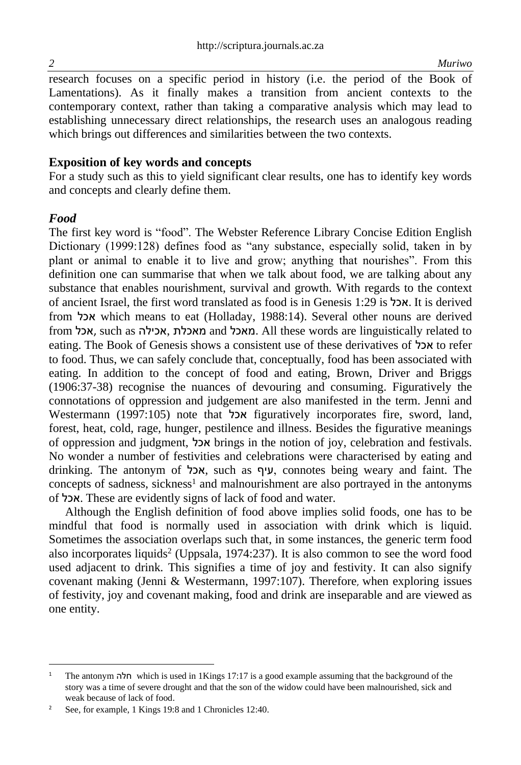research focuses on a specific period in history (i.e. the period of the Book of Lamentations). As it finally makes a transition from ancient contexts to the contemporary context, rather than taking a comparative analysis which may lead to establishing unnecessary direct relationships, the research uses an analogous reading which brings out differences and similarities between the two contexts.

# **Exposition of key words and concepts**

For a study such as this to yield significant clear results, one has to identify key words and concepts and clearly define them.

# *Food*

The first key word is "food". The Webster Reference Library Concise Edition English Dictionary (1999:128) defines food as "any substance, especially solid, taken in by plant or animal to enable it to live and grow; anything that nourishes". From this definition one can summarise that when we talk about food, we are talking about any substance that enables nourishment, survival and growth. With regards to the context of ancient Israel, the first word translated as food is in Genesis 1:29 is אכל. It is derived from אכל which means to eat (Holladay, 1988:14). Several other nouns are derived from אכל, such as אכילה, מאכלת and מאכל. All these words are linguistically related to eating. The Book of Genesis shows a consistent use of these derivatives of אכל to refer to food. Thus, we can safely conclude that, conceptually, food has been associated with eating. In addition to the concept of food and eating, Brown, Driver and Briggs (1906:37-38) recognise the nuances of devouring and consuming. Figuratively the connotations of oppression and judgement are also manifested in the term. Jenni and Westermann (1997:105) note that אכל figuratively incorporates fire, sword, land, forest, heat, cold, rage, hunger, pestilence and illness. Besides the figurative meanings of oppression and judgment, אכל brings in the notion of joy, celebration and festivals. No wonder a number of festivities and celebrations were characterised by eating and drinking. The antonym of אכל, such as עיף, connotes being weary and faint. The concepts of sadness, sickness<sup>1</sup> and malnourishment are also portrayed in the antonyms of אכל. These are evidently signs of lack of food and water.

Although the English definition of food above implies solid foods, one has to be mindful that food is normally used in association with drink which is liquid. Sometimes the association overlaps such that, in some instances, the generic term food also incorporates liquids<sup>2</sup> (Uppsala, 1974:237). It is also common to see the word food used adjacent to drink. This signifies a time of joy and festivity. It can also signify covenant making (Jenni & Westermann, 1997:107). Therefore, when exploring issues of festivity, joy and covenant making, food and drink are inseparable and are viewed as one entity.

<sup>1</sup> The antonym חלה which is used in 1Kings 17:17 is a good example assuming that the background of the story was a time of severe drought and that the son of the widow could have been malnourished, sick and weak because of lack of food.

<sup>&</sup>lt;sup>2</sup> See, for example, 1 Kings 19:8 and 1 Chronicles 12:40.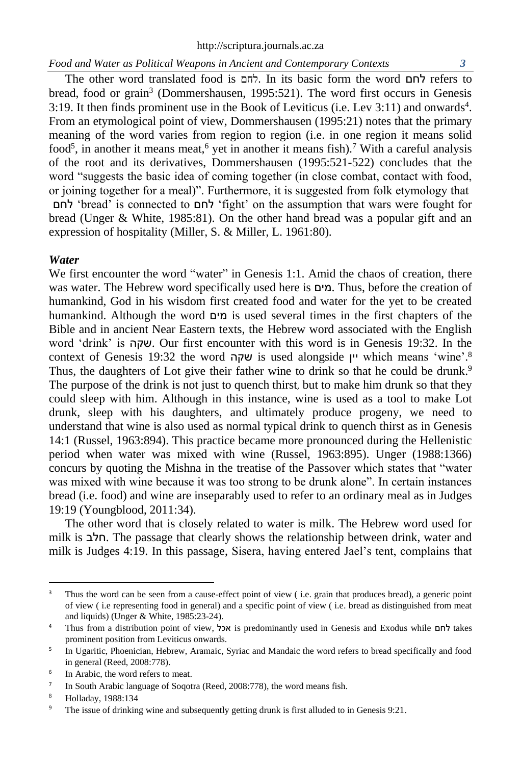The other word translated food is  $\pi r$ . In its basic form the word  $\pi r$  refers to bread, food or grain<sup>3</sup> (Dommershausen, 1995:521). The word first occurs in Genesis 3:19. It then finds prominent use in the Book of Leviticus (i.e. Lev 3:11) and onwards<sup>4</sup> . From an etymological point of view, Dommershausen (1995:21) notes that the primary meaning of the word varies from region to region (i.e. in one region it means solid food<sup>5</sup>, in another it means meat,<sup>6</sup> yet in another it means fish).<sup>7</sup> With a careful analysis of the root and its derivatives, Dommershausen (1995:521-522) concludes that the word "suggests the basic idea of coming together (in close combat, contact with food, or joining together for a meal)". Furthermore, it is suggested from folk etymology that לחם' bread' is connected to לחם' fight' on the assumption that wars were fought for bread (Unger & White, 1985:81). On the other hand bread was a popular gift and an expression of hospitality (Miller, S. & Miller, L. 1961:80).

#### *Water*

We first encounter the word "water" in Genesis 1:1. Amid the chaos of creation, there was water. The Hebrew word specifically used here is מים. Thus, before the creation of humankind, God in his wisdom first created food and water for the yet to be created humankind. Although the word מים is used several times in the first chapters of the Bible and in ancient Near Eastern texts, the Hebrew word associated with the English word 'drink' is שקה. Our first encounter with this word is in Genesis 19:32. In the context of Genesis 19:32 the word שקה is used alongside יין which means 'wine'. 8 Thus, the daughters of Lot give their father wine to drink so that he could be drunk.<sup>9</sup> The purpose of the drink is not just to quench thirst, but to make him drunk so that they could sleep with him. Although in this instance, wine is used as a tool to make Lot drunk, sleep with his daughters, and ultimately produce progeny, we need to understand that wine is also used as normal typical drink to quench thirst as in Genesis 14:1 (Russel, 1963:894). This practice became more pronounced during the Hellenistic period when water was mixed with wine (Russel, 1963:895). Unger (1988:1366) concurs by quoting the Mishna in the treatise of the Passover which states that "water was mixed with wine because it was too strong to be drunk alone". In certain instances bread (i.e. food) and wine are inseparably used to refer to an ordinary meal as in Judges 19:19 (Youngblood, 2011:34).

The other word that is closely related to water is milk. The Hebrew word used for milk is חלב. The passage that clearly shows the relationship between drink, water and milk is Judges 4:19. In this passage, Sisera, having entered Jael's tent, complains that

<sup>&</sup>lt;sup>3</sup> Thus the word can be seen from a cause-effect point of view (i.e. grain that produces bread), a generic point of view ( i.e representing food in general) and a specific point of view ( i.e. bread as distinguished from meat and liquids) (Unger & White, 1985:23-24).

<sup>4</sup> Thus from a distribution point of view, אכל is predominantly used in Genesis and Exodus while לחם takes prominent position from Leviticus onwards.

<sup>5</sup> In Ugaritic, Phoenician, Hebrew, Aramaic, Syriac and Mandaic the word refers to bread specifically and food in general (Reed, 2008:778).

<sup>6</sup> In Arabic, the word refers to meat.

<sup>7</sup> In South Arabic language of Soqotra (Reed, 2008:778), the word means fish.

<sup>8</sup> Holladay, 1988:134

<sup>&</sup>lt;sup>9</sup> The issue of drinking wine and subsequently getting drunk is first alluded to in Genesis 9:21.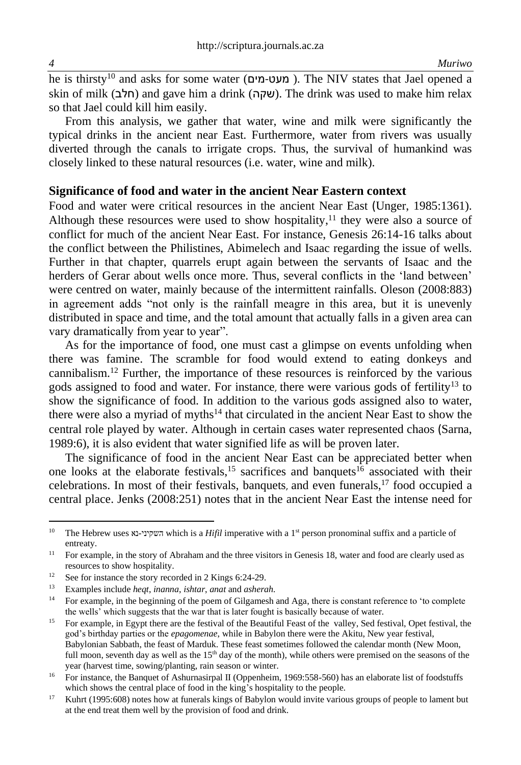he is thirsty<sup>10</sup> and asks for some water (**מעט-מים**). The NIV states that Jael opened a skin of milk (חלב) and gave him a drink (שקה). The drink was used to make him relax so that Jael could kill him easily.

From this analysis, we gather that water, wine and milk were significantly the typical drinks in the ancient near East. Furthermore, water from rivers was usually diverted through the canals to irrigate crops. Thus, the survival of humankind was closely linked to these natural resources (i.e. water, wine and milk).

#### **Significance of food and water in the ancient Near Eastern context**

Food and water were critical resources in the ancient Near East (Unger, 1985:1361). Although these resources were used to show hospitality, <sup>11</sup> they were also a source of conflict for much of the ancient Near East. For instance, Genesis 26:14-16 talks about the conflict between the Philistines, Abimelech and Isaac regarding the issue of wells. Further in that chapter, quarrels erupt again between the servants of Isaac and the herders of Gerar about wells once more. Thus, several conflicts in the 'land between' were centred on water, mainly because of the intermittent rainfalls. Oleson (2008:883) in agreement adds "not only is the rainfall meagre in this area, but it is unevenly distributed in space and time, and the total amount that actually falls in a given area can vary dramatically from year to year".

As for the importance of food, one must cast a glimpse on events unfolding when there was famine. The scramble for food would extend to eating donkeys and cannibalism. <sup>12</sup> Further, the importance of these resources is reinforced by the various gods assigned to food and water. For instance, there were various gods of fertility<sup>13</sup> to show the significance of food. In addition to the various gods assigned also to water, there were also a myriad of myths $14$  that circulated in the ancient Near East to show the central role played by water. Although in certain cases water represented chaos (Sarna, 1989:6), it is also evident that water signified life as will be proven later.

The significance of food in the ancient Near East can be appreciated better when one looks at the elaborate festivals,  $15$  sacrifices and banquets  $16$  associated with their celebrations. In most of their festivals, banquets, and even funerals, <sup>17</sup> food occupied a central place. Jenks (2008:251) notes that in the ancient Near East the intense need for

<sup>&</sup>lt;sup>10</sup> The Hebrew uses וא<sub>י</sub> השקיני which is a *Hifil* imperative with a 1<sup>st</sup> person pronominal suffix and a particle of entreaty.

<sup>&</sup>lt;sup>11</sup> For example, in the story of Abraham and the three visitors in Genesis 18, water and food are clearly used as resources to show hospitality.

<sup>&</sup>lt;sup>12</sup> See for instance the story recorded in 2 Kings 6:24-29.<br><sup>13</sup> Examples include *heat* include *influe and ashero* 

<sup>13</sup> Examples include *heqt*, *inanna*, *ishtar*, *anat* and *asherah.*

<sup>&</sup>lt;sup>14</sup> For example, in the beginning of the poem of Gilgamesh and Aga, there is constant reference to 'to complete the wells' which suggests that the war that is later fought is basically because of water.

<sup>&</sup>lt;sup>15</sup> For example, in Egypt there are the festival of the Beautiful Feast of the valley, Sed festival, Opet festival, the god's birthday parties or the *epagomenae*, while in Babylon there were the Akitu, New year festival, Babylonian Sabbath, the feast of Marduk. These feast sometimes followed the calendar month (New Moon, full moon, seventh day as well as the  $15<sup>th</sup>$  day of the month), while others were premised on the seasons of the year (harvest time, sowing/planting, rain season or winter.

<sup>&</sup>lt;sup>16</sup> For instance, the Banquet of Ashurnasirpal II (Oppenheim, 1969:558-560) has an elaborate list of foodstuffs which shows the central place of food in the king's hospitality to the people.

<sup>&</sup>lt;sup>17</sup> Kuhrt (1995:608) notes how at funerals kings of Babylon would invite various groups of people to lament but at the end treat them well by the provision of food and drink.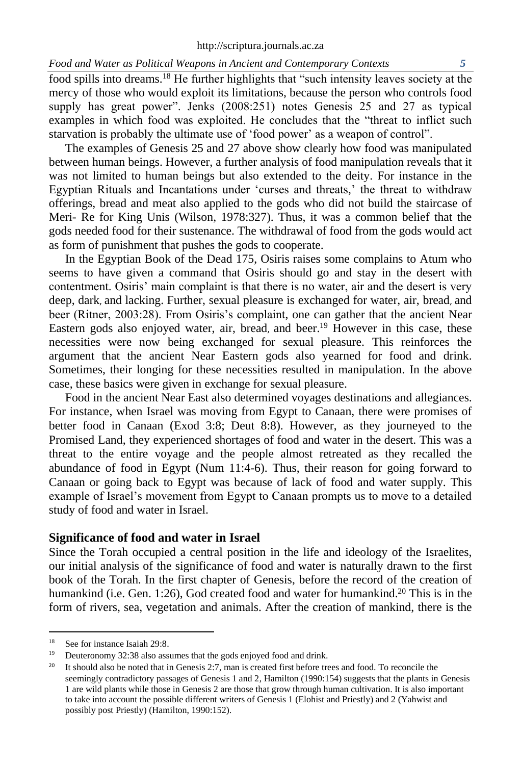food spills into dreams.<sup>18</sup> He further highlights that "such intensity leaves society at the mercy of those who would exploit its limitations, because the person who controls food supply has great power". Jenks (2008:251) notes Genesis 25 and 27 as typical examples in which food was exploited. He concludes that the "threat to inflict such starvation is probably the ultimate use of 'food power' as a weapon of control".

The examples of Genesis 25 and 27 above show clearly how food was manipulated between human beings. However, a further analysis of food manipulation reveals that it was not limited to human beings but also extended to the deity. For instance in the Egyptian Rituals and Incantations under 'curses and threats,' the threat to withdraw offerings, bread and meat also applied to the gods who did not build the staircase of Meri- Re for King Unis (Wilson, 1978:327). Thus, it was a common belief that the gods needed food for their sustenance. The withdrawal of food from the gods would act as form of punishment that pushes the gods to cooperate.

In the Egyptian Book of the Dead 175, Osiris raises some complains to Atum who seems to have given a command that Osiris should go and stay in the desert with contentment. Osiris' main complaint is that there is no water, air and the desert is very deep, dark, and lacking. Further, sexual pleasure is exchanged for water, air, bread, and beer (Ritner, 2003:28). From Osiris's complaint, one can gather that the ancient Near Eastern gods also enjoyed water, air, bread, and beer. <sup>19</sup> However in this case, these necessities were now being exchanged for sexual pleasure. This reinforces the argument that the ancient Near Eastern gods also yearned for food and drink. Sometimes, their longing for these necessities resulted in manipulation. In the above case, these basics were given in exchange for sexual pleasure.

Food in the ancient Near East also determined voyages destinations and allegiances. For instance, when Israel was moving from Egypt to Canaan, there were promises of better food in Canaan (Exod 3:8; Deut 8:8). However, as they journeyed to the Promised Land, they experienced shortages of food and water in the desert. This was a threat to the entire voyage and the people almost retreated as they recalled the abundance of food in Egypt (Num 11:4-6). Thus, their reason for going forward to Canaan or going back to Egypt was because of lack of food and water supply. This example of Israel's movement from Egypt to Canaan prompts us to move to a detailed study of food and water in Israel.

#### **Significance of food and water in Israel**

Since the Torah occupied a central position in the life and ideology of the Israelites, our initial analysis of the significance of food and water is naturally drawn to the first book of the Torah. In the first chapter of Genesis, before the record of the creation of humankind (i.e. Gen. 1:26), God created food and water for humankind.<sup>20</sup> This is in the form of rivers, sea, vegetation and animals. After the creation of mankind, there is the

<sup>&</sup>lt;sup>18</sup> See for instance Isaiah 29:8.<br> $\frac{19}{19}$  Deuteronomy 32:38 also assi

Deuteronomy 32:38 also assumes that the gods enjoyed food and drink.

<sup>&</sup>lt;sup>20</sup> It should also be noted that in Genesis 2:7, man is created first before trees and food. To reconcile the seemingly contradictory passages of Genesis 1 and 2, Hamilton (1990:154) suggests that the plants in Genesis 1 are wild plants while those in Genesis 2 are those that grow through human cultivation. It is also important to take into account the possible different writers of Genesis 1 (Elohist and Priestly) and 2 (Yahwist and possibly post Priestly) (Hamilton, 1990:152).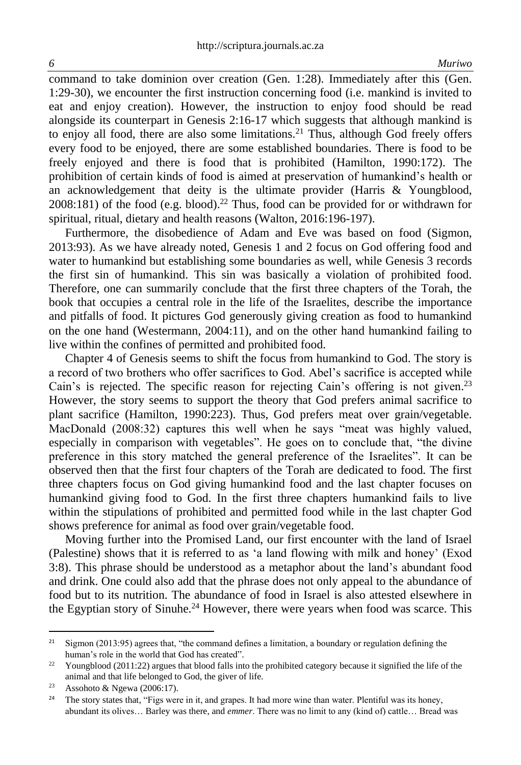command to take dominion over creation (Gen. 1:28). Immediately after this (Gen. 1:29-30), we encounter the first instruction concerning food (i.e. mankind is invited to eat and enjoy creation). However, the instruction to enjoy food should be read alongside its counterpart in Genesis 2:16-17 which suggests that although mankind is to enjoy all food, there are also some limitations.<sup>21</sup> Thus, although God freely offers every food to be enjoyed, there are some established boundaries. There is food to be freely enjoyed and there is food that is prohibited (Hamilton, 1990:172). The prohibition of certain kinds of food is aimed at preservation of humankind's health or an acknowledgement that deity is the ultimate provider (Harris & Youngblood,  $2008:181$ ) of the food (e.g. blood).<sup>22</sup> Thus, food can be provided for or withdrawn for spiritual, ritual, dietary and health reasons (Walton, 2016:196-197).

Furthermore, the disobedience of Adam and Eve was based on food (Sigmon, 2013:93). As we have already noted, Genesis 1 and 2 focus on God offering food and water to humankind but establishing some boundaries as well, while Genesis 3 records the first sin of humankind. This sin was basically a violation of prohibited food. Therefore, one can summarily conclude that the first three chapters of the Torah, the book that occupies a central role in the life of the Israelites, describe the importance and pitfalls of food. It pictures God generously giving creation as food to humankind on the one hand (Westermann, 2004:11), and on the other hand humankind failing to live within the confines of permitted and prohibited food.

Chapter 4 of Genesis seems to shift the focus from humankind to God. The story is a record of two brothers who offer sacrifices to God. Abel's sacrifice is accepted while Cain's is rejected. The specific reason for rejecting Cain's offering is not given.<sup>23</sup> However, the story seems to support the theory that God prefers animal sacrifice to plant sacrifice (Hamilton, 1990:223). Thus, God prefers meat over grain/vegetable. MacDonald (2008:32) captures this well when he says "meat was highly valued, especially in comparison with vegetables". He goes on to conclude that, "the divine preference in this story matched the general preference of the Israelites". It can be observed then that the first four chapters of the Torah are dedicated to food. The first three chapters focus on God giving humankind food and the last chapter focuses on humankind giving food to God. In the first three chapters humankind fails to live within the stipulations of prohibited and permitted food while in the last chapter God shows preference for animal as food over grain/vegetable food.

Moving further into the Promised Land, our first encounter with the land of Israel (Palestine) shows that it is referred to as 'a land flowing with milk and honey' (Exod 3:8). This phrase should be understood as a metaphor about the land's abundant food and drink. One could also add that the phrase does not only appeal to the abundance of food but to its nutrition. The abundance of food in Israel is also attested elsewhere in the Egyptian story of Sinuhe.<sup>24</sup> However, there were years when food was scarce. This

<sup>&</sup>lt;sup>21</sup> Sigmon (2013:95) agrees that, "the command defines a limitation, a boundary or regulation defining the human's role in the world that God has created".

<sup>&</sup>lt;sup>22</sup> Youngblood (2011:22) argues that blood falls into the prohibited category because it signified the life of the animal and that life belonged to God, the giver of life.

<sup>&</sup>lt;sup>23</sup> Assohoto & Ngewa (2006:17).

<sup>&</sup>lt;sup>24</sup> The story states that, "Figs were in it, and grapes. It had more wine than water. Plentiful was its honey, abundant its olives… Barley was there, and *emmer*. There was no limit to any (kind of) cattle… Bread was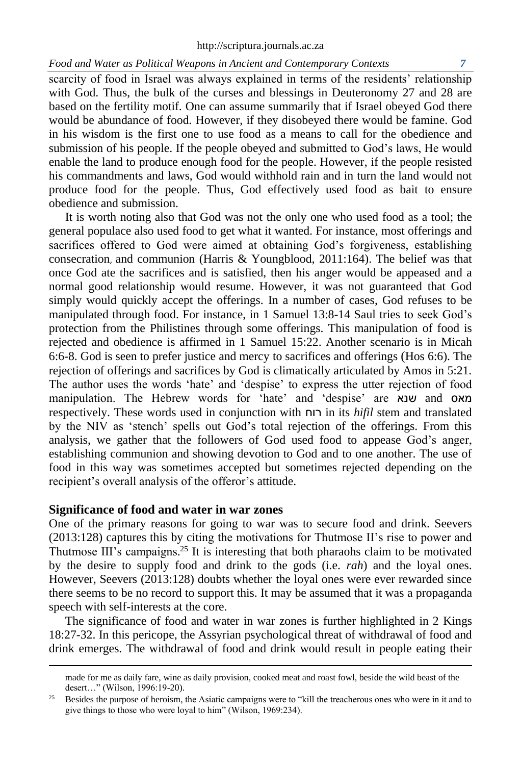scarcity of food in Israel was always explained in terms of the residents' relationship with God. Thus, the bulk of the curses and blessings in Deuteronomy 27 and 28 are based on the fertility motif. One can assume summarily that if Israel obeyed God there would be abundance of food. However, if they disobeyed there would be famine. God in his wisdom is the first one to use food as a means to call for the obedience and submission of his people. If the people obeyed and submitted to God's laws, He would enable the land to produce enough food for the people. However, if the people resisted his commandments and laws, God would withhold rain and in turn the land would not produce food for the people. Thus, God effectively used food as bait to ensure obedience and submission.

It is worth noting also that God was not the only one who used food as a tool; the general populace also used food to get what it wanted. For instance, most offerings and sacrifices offered to God were aimed at obtaining God's forgiveness, establishing consecration, and communion (Harris & Youngblood, 2011:164). The belief was that once God ate the sacrifices and is satisfied, then his anger would be appeased and a normal good relationship would resume. However, it was not guaranteed that God simply would quickly accept the offerings. In a number of cases, God refuses to be manipulated through food. For instance, in 1 Samuel 13:8-14 Saul tries to seek God's protection from the Philistines through some offerings. This manipulation of food is rejected and obedience is affirmed in 1 Samuel 15:22. Another scenario is in Micah 6:6-8. God is seen to prefer justice and mercy to sacrifices and offerings (Hos 6:6). The rejection of offerings and sacrifices by God is climatically articulated by Amos in 5:21. The author uses the words 'hate' and 'despise' to express the utter rejection of food manipulation. The Hebrew words for 'hate' and 'despise' are שנא and מאס respectively. These words used in conjunction with רוח in its *hifil* stem and translated by the NIV as 'stench' spells out God's total rejection of the offerings. From this analysis, we gather that the followers of God used food to appease God's anger, establishing communion and showing devotion to God and to one another. The use of food in this way was sometimes accepted but sometimes rejected depending on the recipient's overall analysis of the offeror's attitude.

# **Significance of food and water in war zones**

One of the primary reasons for going to war was to secure food and drink. Seevers (2013:128) captures this by citing the motivations for Thutmose II's rise to power and Thutmose III's campaigns.<sup>25</sup> It is interesting that both pharaohs claim to be motivated by the desire to supply food and drink to the gods (i.e. *rah*) and the loyal ones. However, Seevers (2013:128) doubts whether the loyal ones were ever rewarded since there seems to be no record to support this. It may be assumed that it was a propaganda speech with self-interests at the core.

The significance of food and water in war zones is further highlighted in 2 Kings 18:27-32. In this pericope, the Assyrian psychological threat of withdrawal of food and drink emerges. The withdrawal of food and drink would result in people eating their

made for me as daily fare, wine as daily provision, cooked meat and roast fowl, beside the wild beast of the desert…" (Wilson, 1996:19-20).

<sup>&</sup>lt;sup>25</sup> Besides the purpose of heroism, the Asiatic campaigns were to "kill the treacherous ones who were in it and to give things to those who were loyal to him" (Wilson, 1969:234).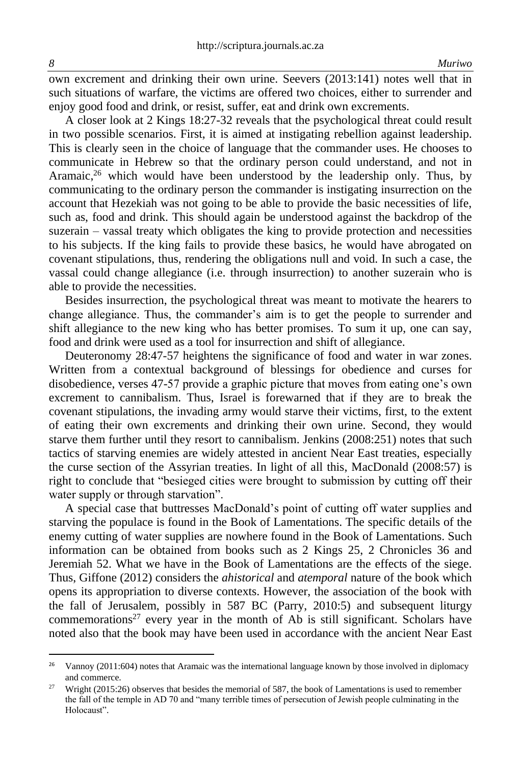own excrement and drinking their own urine. Seevers (2013:141) notes well that in such situations of warfare, the victims are offered two choices, either to surrender and enjoy good food and drink, or resist, suffer, eat and drink own excrements.

A closer look at 2 Kings 18:27-32 reveals that the psychological threat could result in two possible scenarios. First, it is aimed at instigating rebellion against leadership. This is clearly seen in the choice of language that the commander uses. He chooses to communicate in Hebrew so that the ordinary person could understand, and not in Aramaic, <sup>26</sup> which would have been understood by the leadership only. Thus, by communicating to the ordinary person the commander is instigating insurrection on the account that Hezekiah was not going to be able to provide the basic necessities of life, such as, food and drink. This should again be understood against the backdrop of the suzerain – vassal treaty which obligates the king to provide protection and necessities to his subjects. If the king fails to provide these basics, he would have abrogated on covenant stipulations, thus, rendering the obligations null and void. In such a case, the vassal could change allegiance (i.e. through insurrection) to another suzerain who is able to provide the necessities.

Besides insurrection, the psychological threat was meant to motivate the hearers to change allegiance. Thus, the commander's aim is to get the people to surrender and shift allegiance to the new king who has better promises. To sum it up, one can say, food and drink were used as a tool for insurrection and shift of allegiance.

Deuteronomy 28:47-57 heightens the significance of food and water in war zones. Written from a contextual background of blessings for obedience and curses for disobedience, verses 47-57 provide a graphic picture that moves from eating one's own excrement to cannibalism. Thus, Israel is forewarned that if they are to break the covenant stipulations, the invading army would starve their victims, first, to the extent of eating their own excrements and drinking their own urine. Second, they would starve them further until they resort to cannibalism. Jenkins (2008:251) notes that such tactics of starving enemies are widely attested in ancient Near East treaties, especially the curse section of the Assyrian treaties. In light of all this, MacDonald (2008:57) is right to conclude that "besieged cities were brought to submission by cutting off their water supply or through starvation".

A special case that buttresses MacDonald's point of cutting off water supplies and starving the populace is found in the Book of Lamentations. The specific details of the enemy cutting of water supplies are nowhere found in the Book of Lamentations. Such information can be obtained from books such as 2 Kings 25, 2 Chronicles 36 and Jeremiah 52. What we have in the Book of Lamentations are the effects of the siege. Thus, Giffone (2012) considers the *ahistorical* and *atemporal* nature of the book which opens its appropriation to diverse contexts. However, the association of the book with the fall of Jerusalem, possibly in 587 BC (Parry, 2010:5) and subsequent liturgy commemorations<sup>27</sup> every year in the month of Ab is still significant. Scholars have noted also that the book may have been used in accordance with the ancient Near East

<sup>&</sup>lt;sup>26</sup> Vannoy (2011:604) notes that Aramaic was the international language known by those involved in diplomacy and commerce.

<sup>&</sup>lt;sup>27</sup> Wright (2015:26) observes that besides the memorial of 587, the book of Lamentations is used to remember the fall of the temple in AD 70 and "many terrible times of persecution of Jewish people culminating in the Holocaust".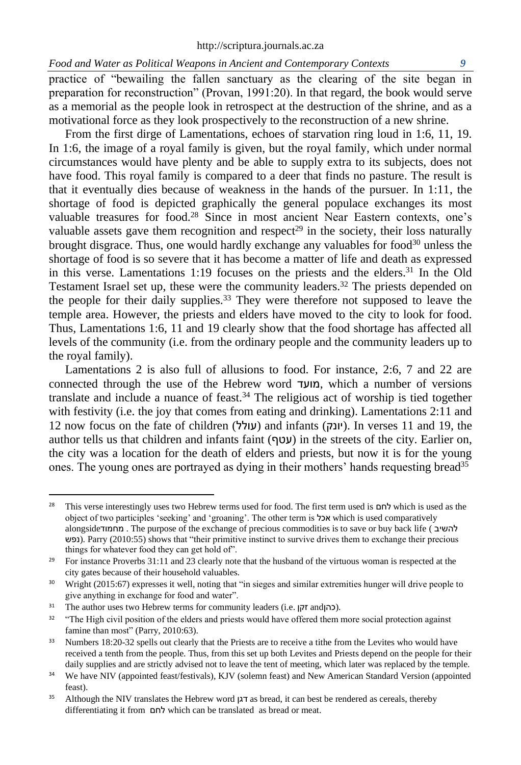practice of "bewailing the fallen sanctuary as the clearing of the site began in preparation for reconstruction" (Provan, 1991:20). In that regard, the book would serve as a memorial as the people look in retrospect at the destruction of the shrine, and as a motivational force as they look prospectively to the reconstruction of a new shrine.

From the first dirge of Lamentations, echoes of starvation ring loud in 1:6, 11, 19. In 1:6, the image of a royal family is given, but the royal family, which under normal circumstances would have plenty and be able to supply extra to its subjects, does not have food. This royal family is compared to a deer that finds no pasture. The result is that it eventually dies because of weakness in the hands of the pursuer. In 1:11, the shortage of food is depicted graphically the general populace exchanges its most valuable treasures for food. <sup>28</sup> Since in most ancient Near Eastern contexts, one's valuable assets gave them recognition and respect<sup>29</sup> in the society, their loss naturally brought disgrace. Thus, one would hardly exchange any valuables for food<sup>30</sup> unless the shortage of food is so severe that it has become a matter of life and death as expressed in this verse. Lamentations 1:19 focuses on the priests and the elders. <sup>31</sup> In the Old Testament Israel set up, these were the community leaders. <sup>32</sup> The priests depended on the people for their daily supplies. <sup>33</sup> They were therefore not supposed to leave the temple area. However, the priests and elders have moved to the city to look for food. Thus, Lamentations 1:6, 11 and 19 clearly show that the food shortage has affected all levels of the community (i.e. from the ordinary people and the community leaders up to the royal family).

Lamentations 2 is also full of allusions to food. For instance, 2:6, 7 and 22 are connected through the use of the Hebrew word מועד, which a number of versions translate and include a nuance of feast. <sup>34</sup> The religious act of worship is tied together with festivity (i.e. the joy that comes from eating and drinking). Lamentations 2:11 and  $12$  now focus on the fate of children (עולל) and infants (יונק). In verses 11 and 19, the author tells us that children and infants faint (עטף) in the streets of the city. Earlier on, the city was a location for the death of elders and priests, but now it is for the young ones. The young ones are portrayed as dying in their mothers' hands requesting bread<sup>35</sup>

<sup>28</sup> This verse interestingly uses two Hebrew terms used for food. The first term used is לחם which is used as the object of two participles 'seeking' and 'groaning'. The other term is אכל which is used comparatively alongside מחמוד . The purpose of the exchange of precious commodities is to save or buy back life ( להשיב נפש(. Parry (2010:55) shows that "their primitive instinct to survive drives them to exchange their precious things for whatever food they can get hold of".

<sup>&</sup>lt;sup>29</sup> For instance Proverbs 31:11 and 23 clearly note that the husband of the virtuous woman is respected at the city gates because of their household valuables.

<sup>30</sup> Wright (2015:67) expresses it well, noting that "in sieges and similar extremities hunger will drive people to give anything in exchange for food and water".

<sup>&</sup>lt;sup>31</sup> The author uses two Hebrew terms for community leaders (i.e. וכהן $\tau$  and).

<sup>&</sup>lt;sup>32</sup> "The High civil position of the elders and priests would have offered them more social protection against famine than most" (Parry, 2010:63).

<sup>&</sup>lt;sup>33</sup> Numbers 18:20-32 spells out clearly that the Priests are to receive a tithe from the Levites who would have received a tenth from the people. Thus, from this set up both Levites and Priests depend on the people for their daily supplies and are strictly advised not to leave the tent of meeting, which later was replaced by the temple.

<sup>&</sup>lt;sup>34</sup> We have NIV (appointed feast/festivals), KJV (solemn feast) and New American Standard Version (appointed feast).

<sup>35</sup> Although the NIV translates the Hebrew word דגן as bread, it can best be rendered as cereals, thereby differentiating it from לחם which can be translated as bread or meat.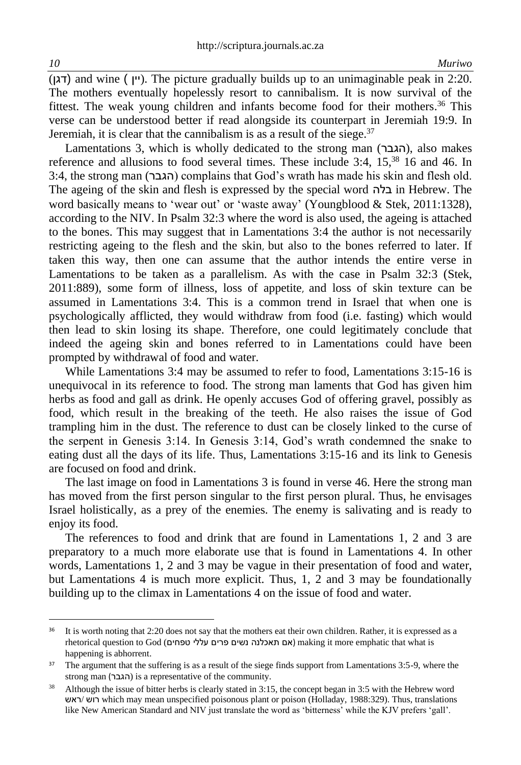$(T<sub>l</sub>)$  and wine ( $($  $'$ ין). The picture gradually builds up to an unimaginable peak in 2:20. The mothers eventually hopelessly resort to cannibalism. It is now survival of the fittest. The weak young children and infants become food for their mothers. <sup>36</sup> This verse can be understood better if read alongside its counterpart in Jeremiah 19:9. In Jeremiah, it is clear that the cannibalism is as a result of the siege. $37$ 

Lamentations 3, which is wholly dedicated to the strong man (הגבר), also makes reference and allusions to food several times. These include 3:4, 15, <sup>38</sup> 16 and 46. In  $3:4$ , the strong man (הגבר) complains that God's wrath has made his skin and flesh old. The ageing of the skin and flesh is expressed by the special word בלה in Hebrew. The word basically means to 'wear out' or 'waste away' (Youngblood & Stek, 2011:1328), according to the NIV. In Psalm 32:3 where the word is also used, the ageing is attached to the bones. This may suggest that in Lamentations 3:4 the author is not necessarily restricting ageing to the flesh and the skin, but also to the bones referred to later. If taken this way, then one can assume that the author intends the entire verse in Lamentations to be taken as a parallelism. As with the case in Psalm 32:3 (Stek, 2011:889), some form of illness, loss of appetite, and loss of skin texture can be assumed in Lamentations 3:4. This is a common trend in Israel that when one is psychologically afflicted, they would withdraw from food (i.e. fasting) which would then lead to skin losing its shape. Therefore, one could legitimately conclude that indeed the ageing skin and bones referred to in Lamentations could have been prompted by withdrawal of food and water.

While Lamentations 3:4 may be assumed to refer to food, Lamentations 3:15-16 is unequivocal in its reference to food. The strong man laments that God has given him herbs as food and gall as drink. He openly accuses God of offering gravel, possibly as food, which result in the breaking of the teeth. He also raises the issue of God trampling him in the dust. The reference to dust can be closely linked to the curse of the serpent in Genesis 3:14. In Genesis 3:14, God's wrath condemned the snake to eating dust all the days of its life. Thus, Lamentations 3:15-16 and its link to Genesis are focused on food and drink.

The last image on food in Lamentations 3 is found in verse 46. Here the strong man has moved from the first person singular to the first person plural. Thus, he envisages Israel holistically, as a prey of the enemies. The enemy is salivating and is ready to enjoy its food.

The references to food and drink that are found in Lamentations 1, 2 and 3 are preparatory to a much more elaborate use that is found in Lamentations 4. In other words, Lamentations 1, 2 and 3 may be vague in their presentation of food and water, but Lamentations 4 is much more explicit. Thus, 1, 2 and 3 may be foundationally building up to the climax in Lamentations 4 on the issue of food and water.

<sup>&</sup>lt;sup>36</sup> It is worth noting that 2:20 does not say that the mothers eat their own children. Rather, it is expressed as a rhetorical question to God (טפחים עללי פרים נשים תאכלנה אם (making it more emphatic that what is happening is abhorrent.

<sup>&</sup>lt;sup>37</sup> The argument that the suffering is as a result of the siege finds support from Lamentations 3:5-9, where the strong man (הגבר) is a representative of the community.

<sup>&</sup>lt;sup>38</sup> Although the issue of bitter herbs is clearly stated in 3:15, the concept began in 3:5 with the Hebrew word ראש/ רוש which may mean unspecified poisonous plant or poison (Holladay, 1988:329). Thus, translations like New American Standard and NIV just translate the word as 'bitterness' while the KJV prefers 'gall'.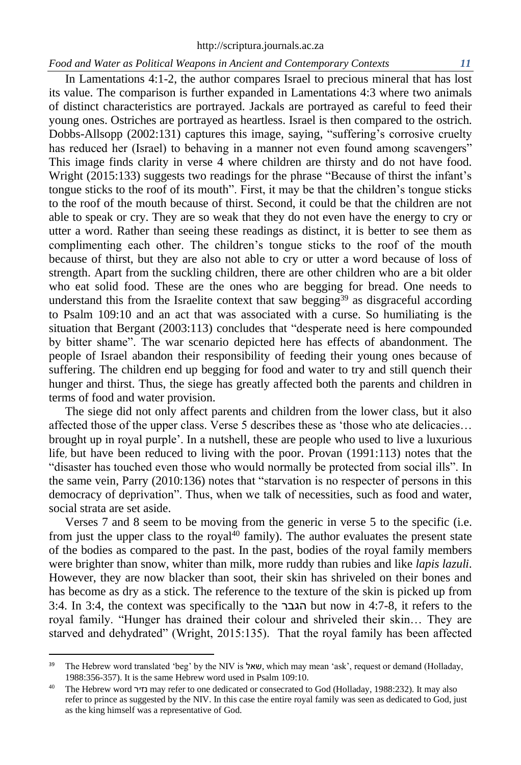In Lamentations 4:1-2, the author compares Israel to precious mineral that has lost its value. The comparison is further expanded in Lamentations 4:3 where two animals of distinct characteristics are portrayed. Jackals are portrayed as careful to feed their young ones. Ostriches are portrayed as heartless. Israel is then compared to the ostrich. Dobbs-Allsopp (2002:131) captures this image, saying, "suffering's corrosive cruelty has reduced her (Israel) to behaving in a manner not even found among scavengers" This image finds clarity in verse 4 where children are thirsty and do not have food. Wright (2015:133) suggests two readings for the phrase "Because of thirst the infant's tongue sticks to the roof of its mouth". First, it may be that the children's tongue sticks to the roof of the mouth because of thirst. Second, it could be that the children are not able to speak or cry. They are so weak that they do not even have the energy to cry or utter a word. Rather than seeing these readings as distinct, it is better to see them as complimenting each other. The children's tongue sticks to the roof of the mouth because of thirst, but they are also not able to cry or utter a word because of loss of strength. Apart from the suckling children, there are other children who are a bit older who eat solid food. These are the ones who are begging for bread. One needs to understand this from the Israelite context that saw begging<sup>39</sup> as disgraceful according to Psalm 109:10 and an act that was associated with a curse. So humiliating is the situation that Bergant (2003:113) concludes that "desperate need is here compounded by bitter shame". The war scenario depicted here has effects of abandonment. The people of Israel abandon their responsibility of feeding their young ones because of suffering. The children end up begging for food and water to try and still quench their hunger and thirst. Thus, the siege has greatly affected both the parents and children in terms of food and water provision.

The siege did not only affect parents and children from the lower class, but it also affected those of the upper class. Verse 5 describes these as 'those who ate delicacies… brought up in royal purple'. In a nutshell, these are people who used to live a luxurious life, but have been reduced to living with the poor. Provan (1991:113) notes that the "disaster has touched even those who would normally be protected from social ills". In the same vein, Parry (2010:136) notes that "starvation is no respecter of persons in this democracy of deprivation". Thus, when we talk of necessities, such as food and water, social strata are set aside.

Verses 7 and 8 seem to be moving from the generic in verse 5 to the specific (i.e. from just the upper class to the royal<sup>40</sup> family). The author evaluates the present state of the bodies as compared to the past. In the past, bodies of the royal family members were brighter than snow, whiter than milk, more ruddy than rubies and like *lapis lazuli*. However, they are now blacker than soot, their skin has shriveled on their bones and has become as dry as a stick. The reference to the texture of the skin is picked up from 3:4. In 3:4, the context was specifically to the הגבר but now in 4:7-8, it refers to the royal family. "Hunger has drained their colour and shriveled their skin… They are starved and dehydrated" (Wright, 2015:135). That the royal family has been affected

<sup>&</sup>lt;sup>39</sup> The Hebrew word translated 'beg' by the NIV is שאל, which may mean 'ask', request or demand (Holladay, 1988:356-357). It is the same Hebrew word used in Psalm 109:10.

<sup>40</sup> The Hebrew word נזיר may refer to one dedicated or consecrated to God (Holladay, 1988:232). It may also refer to prince as suggested by the NIV. In this case the entire royal family was seen as dedicated to God, just as the king himself was a representative of God.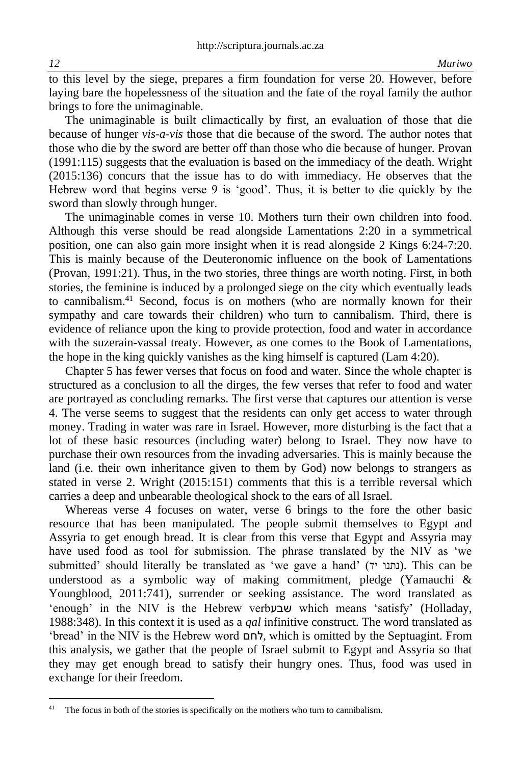to this level by the siege, prepares a firm foundation for verse 20. However, before laying bare the hopelessness of the situation and the fate of the royal family the author brings to fore the unimaginable.

The unimaginable is built climactically by first, an evaluation of those that die because of hunger *vis-a-vis* those that die because of the sword. The author notes that those who die by the sword are better off than those who die because of hunger. Provan (1991:115) suggests that the evaluation is based on the immediacy of the death. Wright (2015:136) concurs that the issue has to do with immediacy. He observes that the Hebrew word that begins verse 9 is 'good'. Thus, it is better to die quickly by the sword than slowly through hunger.

The unimaginable comes in verse 10. Mothers turn their own children into food. Although this verse should be read alongside Lamentations 2:20 in a symmetrical position, one can also gain more insight when it is read alongside 2 Kings 6:24-7:20. This is mainly because of the Deuteronomic influence on the book of Lamentations (Provan, 1991:21). Thus, in the two stories, three things are worth noting. First, in both stories, the feminine is induced by a prolonged siege on the city which eventually leads to cannibalism. <sup>41</sup> Second, focus is on mothers (who are normally known for their sympathy and care towards their children) who turn to cannibalism. Third, there is evidence of reliance upon the king to provide protection, food and water in accordance with the suzerain-vassal treaty. However, as one comes to the Book of Lamentations, the hope in the king quickly vanishes as the king himself is captured (Lam 4:20).

Chapter 5 has fewer verses that focus on food and water. Since the whole chapter is structured as a conclusion to all the dirges, the few verses that refer to food and water are portrayed as concluding remarks. The first verse that captures our attention is verse 4. The verse seems to suggest that the residents can only get access to water through money. Trading in water was rare in Israel. However, more disturbing is the fact that a lot of these basic resources (including water) belong to Israel. They now have to purchase their own resources from the invading adversaries. This is mainly because the land (i.e. their own inheritance given to them by God) now belongs to strangers as stated in verse 2. Wright (2015:151) comments that this is a terrible reversal which carries a deep and unbearable theological shock to the ears of all Israel.

Whereas verse 4 focuses on water, verse 6 brings to the fore the other basic resource that has been manipulated. The people submit themselves to Egypt and Assyria to get enough bread. It is clear from this verse that Egypt and Assyria may have used food as tool for submission. The phrase translated by the NIV as 'we submitted' should literally be translated as 'we gave a hand' (יתנו יד). This can be understood as a symbolic way of making commitment, pledge (Yamauchi & Youngblood, 2011:741), surrender or seeking assistance. The word translated as 'enough' in the NIV is the Hebrew verb שבע which means 'satisfy' (Holladay, 1988:348). In this context it is used as a *qal* infinitive construct. The word translated as 'bread' in the NIV is the Hebrew word לחם, which is omitted by the Septuagint. From this analysis, we gather that the people of Israel submit to Egypt and Assyria so that they may get enough bread to satisfy their hungry ones. Thus, food was used in exchange for their freedom.

The focus in both of the stories is specifically on the mothers who turn to cannibalism.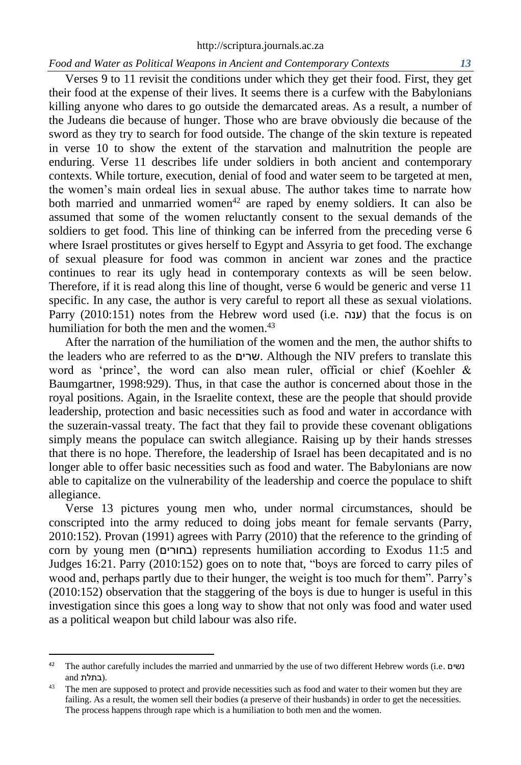Verses 9 to 11 revisit the conditions under which they get their food. First, they get their food at the expense of their lives. It seems there is a curfew with the Babylonians killing anyone who dares to go outside the demarcated areas. As a result, a number of the Judeans die because of hunger. Those who are brave obviously die because of the sword as they try to search for food outside. The change of the skin texture is repeated in verse 10 to show the extent of the starvation and malnutrition the people are enduring. Verse 11 describes life under soldiers in both ancient and contemporary contexts. While torture, execution, denial of food and water seem to be targeted at men, the women's main ordeal lies in sexual abuse. The author takes time to narrate how both married and unmarried women<sup>42</sup> are raped by enemy soldiers. It can also be assumed that some of the women reluctantly consent to the sexual demands of the soldiers to get food. This line of thinking can be inferred from the preceding verse 6 where Israel prostitutes or gives herself to Egypt and Assyria to get food. The exchange of sexual pleasure for food was common in ancient war zones and the practice continues to rear its ugly head in contemporary contexts as will be seen below. Therefore, if it is read along this line of thought, verse 6 would be generic and verse 11 specific. In any case, the author is very careful to report all these as sexual violations. Parry (2010:151) notes from the Hebrew word used (i.e. ענה) that the focus is on humiliation for both the men and the women.<sup>43</sup>

After the narration of the humiliation of the women and the men, the author shifts to the leaders who are referred to as the שרים. Although the NIV prefers to translate this word as 'prince', the word can also mean ruler, official or chief (Koehler & Baumgartner, 1998:929). Thus, in that case the author is concerned about those in the royal positions. Again, in the Israelite context, these are the people that should provide leadership, protection and basic necessities such as food and water in accordance with the suzerain-vassal treaty. The fact that they fail to provide these covenant obligations simply means the populace can switch allegiance. Raising up by their hands stresses that there is no hope. Therefore, the leadership of Israel has been decapitated and is no longer able to offer basic necessities such as food and water. The Babylonians are now able to capitalize on the vulnerability of the leadership and coerce the populace to shift allegiance.

Verse 13 pictures young men who, under normal circumstances, should be conscripted into the army reduced to doing jobs meant for female servants (Parry, 2010:152). Provan (1991) agrees with Parry (2010) that the reference to the grinding of corn by young men (בחורים) represents humiliation according to Exodus 11:5 and Judges 16:21. Parry (2010:152) goes on to note that, "boys are forced to carry piles of wood and, perhaps partly due to their hunger, the weight is too much for them". Parry's (2010:152) observation that the staggering of the boys is due to hunger is useful in this investigation since this goes a long way to show that not only was food and water used as a political weapon but child labour was also rife.

<sup>42</sup> The author carefully includes the married and unmarried by the use of two different Hebrew words (i.e. נשים .(בתלת and

<sup>&</sup>lt;sup>43</sup> The men are supposed to protect and provide necessities such as food and water to their women but they are failing. As a result, the women sell their bodies (a preserve of their husbands) in order to get the necessities. The process happens through rape which is a humiliation to both men and the women.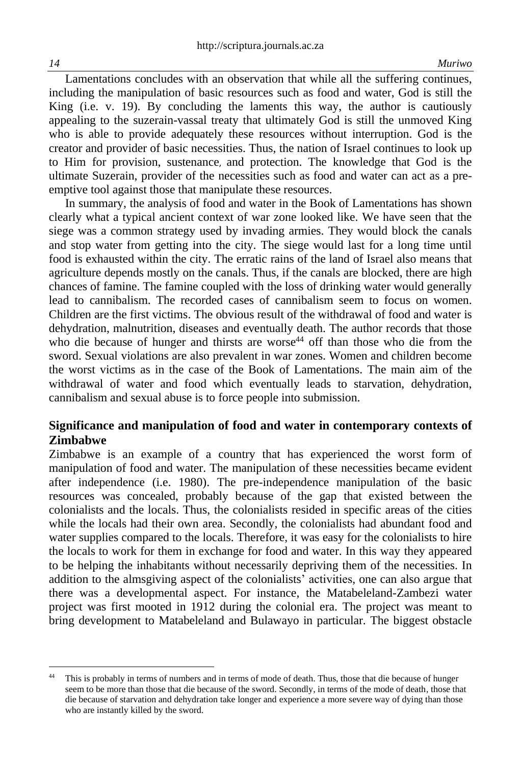Lamentations concludes with an observation that while all the suffering continues, including the manipulation of basic resources such as food and water, God is still the King (i.e. v. 19). By concluding the laments this way, the author is cautiously appealing to the suzerain-vassal treaty that ultimately God is still the unmoved King who is able to provide adequately these resources without interruption. God is the creator and provider of basic necessities. Thus, the nation of Israel continues to look up to Him for provision, sustenance, and protection. The knowledge that God is the ultimate Suzerain, provider of the necessities such as food and water can act as a preemptive tool against those that manipulate these resources.

In summary, the analysis of food and water in the Book of Lamentations has shown clearly what a typical ancient context of war zone looked like. We have seen that the siege was a common strategy used by invading armies. They would block the canals and stop water from getting into the city. The siege would last for a long time until food is exhausted within the city. The erratic rains of the land of Israel also means that agriculture depends mostly on the canals. Thus, if the canals are blocked, there are high chances of famine. The famine coupled with the loss of drinking water would generally lead to cannibalism. The recorded cases of cannibalism seem to focus on women. Children are the first victims. The obvious result of the withdrawal of food and water is dehydration, malnutrition, diseases and eventually death. The author records that those who die because of hunger and thirsts are worse<sup>44</sup> off than those who die from the sword. Sexual violations are also prevalent in war zones. Women and children become the worst victims as in the case of the Book of Lamentations. The main aim of the withdrawal of water and food which eventually leads to starvation, dehydration, cannibalism and sexual abuse is to force people into submission.

# **Significance and manipulation of food and water in contemporary contexts of Zimbabwe**

Zimbabwe is an example of a country that has experienced the worst form of manipulation of food and water. The manipulation of these necessities became evident after independence (i.e. 1980). The pre-independence manipulation of the basic resources was concealed, probably because of the gap that existed between the colonialists and the locals. Thus, the colonialists resided in specific areas of the cities while the locals had their own area. Secondly, the colonialists had abundant food and water supplies compared to the locals. Therefore, it was easy for the colonialists to hire the locals to work for them in exchange for food and water. In this way they appeared to be helping the inhabitants without necessarily depriving them of the necessities. In addition to the almsgiving aspect of the colonialists' activities, one can also argue that there was a developmental aspect. For instance, the Matabeleland-Zambezi water project was first mooted in 1912 during the colonial era. The project was meant to bring development to Matabeleland and Bulawayo in particular. The biggest obstacle

<sup>44</sup> This is probably in terms of numbers and in terms of mode of death. Thus, those that die because of hunger seem to be more than those that die because of the sword. Secondly, in terms of the mode of death, those that die because of starvation and dehydration take longer and experience a more severe way of dying than those who are instantly killed by the sword.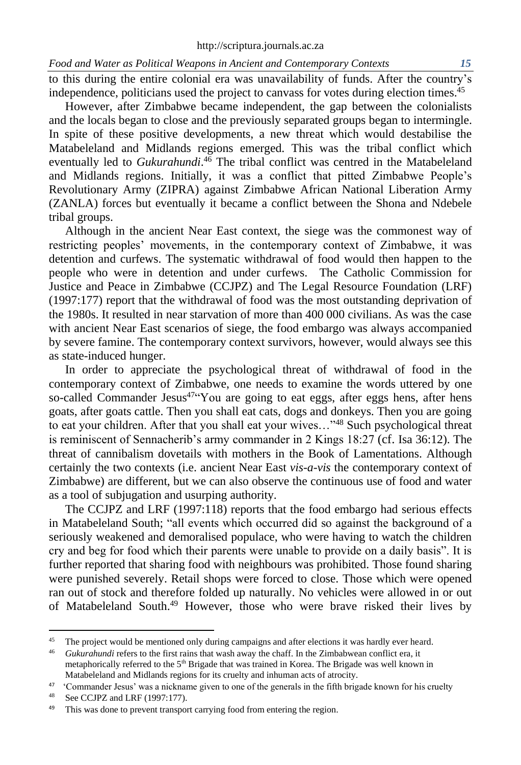to this during the entire colonial era was unavailability of funds. After the country's independence, politicians used the project to canvass for votes during election times. 45

However, after Zimbabwe became independent, the gap between the colonialists and the locals began to close and the previously separated groups began to intermingle. In spite of these positive developments, a new threat which would destabilise the Matabeleland and Midlands regions emerged. This was the tribal conflict which eventually led to *Gukurahundi*. <sup>46</sup> The tribal conflict was centred in the Matabeleland and Midlands regions. Initially, it was a conflict that pitted Zimbabwe People's Revolutionary Army (ZIPRA) against Zimbabwe African National Liberation Army (ZANLA) forces but eventually it became a conflict between the Shona and Ndebele tribal groups.

Although in the ancient Near East context, the siege was the commonest way of restricting peoples' movements, in the contemporary context of Zimbabwe, it was detention and curfews. The systematic withdrawal of food would then happen to the people who were in detention and under curfews. The Catholic Commission for Justice and Peace in Zimbabwe (CCJPZ) and The Legal Resource Foundation (LRF) (1997:177) report that the withdrawal of food was the most outstanding deprivation of the 1980s. It resulted in near starvation of more than 400 000 civilians. As was the case with ancient Near East scenarios of siege, the food embargo was always accompanied by severe famine. The contemporary context survivors, however, would always see this as state-induced hunger.

In order to appreciate the psychological threat of withdrawal of food in the contemporary context of Zimbabwe, one needs to examine the words uttered by one so-called Commander Jesus<sup>47"</sup>You are going to eat eggs, after eggs hens, after hens goats, after goats cattle. Then you shall eat cats, dogs and donkeys. Then you are going to eat your children. After that you shall eat your wives..."<sup>48</sup> Such psychological threat is reminiscent of Sennacherib's army commander in 2 Kings 18:27 (cf. Isa 36:12). The threat of cannibalism dovetails with mothers in the Book of Lamentations. Although certainly the two contexts (i.e. ancient Near East *vis-a-vis* the contemporary context of Zimbabwe) are different, but we can also observe the continuous use of food and water as a tool of subjugation and usurping authority.

The CCJPZ and LRF (1997:118) reports that the food embargo had serious effects in Matabeleland South; "all events which occurred did so against the background of a seriously weakened and demoralised populace, who were having to watch the children cry and beg for food which their parents were unable to provide on a daily basis". It is further reported that sharing food with neighbours was prohibited. Those found sharing were punished severely. Retail shops were forced to close. Those which were opened ran out of stock and therefore folded up naturally. No vehicles were allowed in or out of Matabeleland South. <sup>49</sup> However, those who were brave risked their lives by

<sup>&</sup>lt;sup>45</sup> The project would be mentioned only during campaigns and after elections it was hardly ever heard.

<sup>46</sup> *Gukurahundi* refers to the first rains that wash away the chaff. In the Zimbabwean conflict era, it metaphorically referred to the 5<sup>th</sup> Brigade that was trained in Korea. The Brigade was well known in Matabeleland and Midlands regions for its cruelty and inhuman acts of atrocity.

<sup>&</sup>lt;sup>47</sup> 'Commander Jesus' was a nickname given to one of the generals in the fifth brigade known for his cruelty

<sup>48</sup> See CCJPZ and LRF (1997:177).

<sup>&</sup>lt;sup>49</sup> This was done to prevent transport carrying food from entering the region.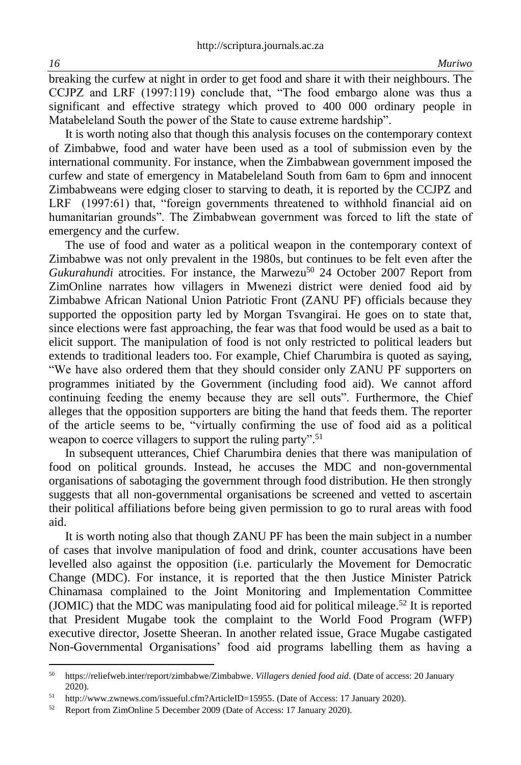breaking the curfew at night in order to get food and share it with their neighbours. The CCJPZ and LRF (1997:119) conclude that, "The food embargo alone was thus a significant and effective strategy which proved to 400 000 ordinary people in Matabeleland South the power of the State to cause extreme hardship".

It is worth noting also that though this analysis focuses on the contemporary context of Zimbabwe, food and water have been used as a tool of submission even by the international community. For instance, when the Zimbabwean government imposed the curfew and state of emergency in Matabeleland South from 6am to 6pm and innocent Zimbabweans were edging closer to starving to death, it is reported by the CCJPZ and LRF (1997:61) that, "foreign governments threatened to withhold financial aid on humanitarian grounds". The Zimbabwean government was forced to lift the state of emergency and the curfew.

The use of food and water as a political weapon in the contemporary context of Zimbabwe was not only prevalent in the 1980s, but continues to be felt even after the *Gukurahundi* atrocities. For instance, the Marwezu<sup>50</sup> 24 October 2007 Report from ZimOnline narrates how villagers in Mwenezi district were denied food aid by Zimbabwe African National Union Patriotic Front (ZANU PF) officials because they supported the opposition party led by Morgan Tsvangirai. He goes on to state that, since elections were fast approaching, the fear was that food would be used as a bait to elicit support. The manipulation of food is not only restricted to political leaders but extends to traditional leaders too. For example, Chief Charumbira is quoted as saying, "We have also ordered them that they should consider only ZANU PF supporters on programmes initiated by the Government (including food aid). We cannot afford continuing feeding the enemy because they are sell outs". Furthermore, the Chief alleges that the opposition supporters are biting the hand that feeds them. The reporter of the article seems to be, "virtually confirming the use of food aid as a political weapon to coerce villagers to support the ruling party".<sup>51</sup>

In subsequent utterances, Chief Charumbira denies that there was manipulation of food on political grounds. Instead, he accuses the MDC and non-governmental organisations of sabotaging the government through food distribution. He then strongly suggests that all non-governmental organisations be screened and vetted to ascertain their political affiliations before being given permission to go to rural areas with food aid.

It is worth noting also that though ZANU PF has been the main subject in a number of cases that involve manipulation of food and drink, counter accusations have been levelled also against the opposition (i.e. particularly the Movement for Democratic Change (MDC). For instance, it is reported that the then Justice Minister Patrick Chinamasa complained to the Joint Monitoring and Implementation Committee (JOMIC) that the MDC was manipulating food aid for political mileage. <sup>52</sup> It is reported that President Mugabe took the complaint to the World Food Program (WFP) executive director, Josette Sheeran. In another related issue, Grace Mugabe castigated Non-Governmental Organisations' food aid programs labelling them as having a

<sup>50</sup> [https://reliefweb.inter/report/zimbabwe/Zimbabwe.](https://reliefweb.inter/report/zimbabwe/Zimbabwe) *Villagers denied food aid*. (Date of access: 20 January 2020).

<sup>51</sup> [http://www.zwnews.com/issueful.cfm?ArticleID=15955.](http://www.zwnews.com/issueful.cfm?ArticleID=15955) (Date of Access: 17 January 2020).

<sup>52</sup> Report from ZimOnline 5 December 2009 (Date of Access: 17 January 2020).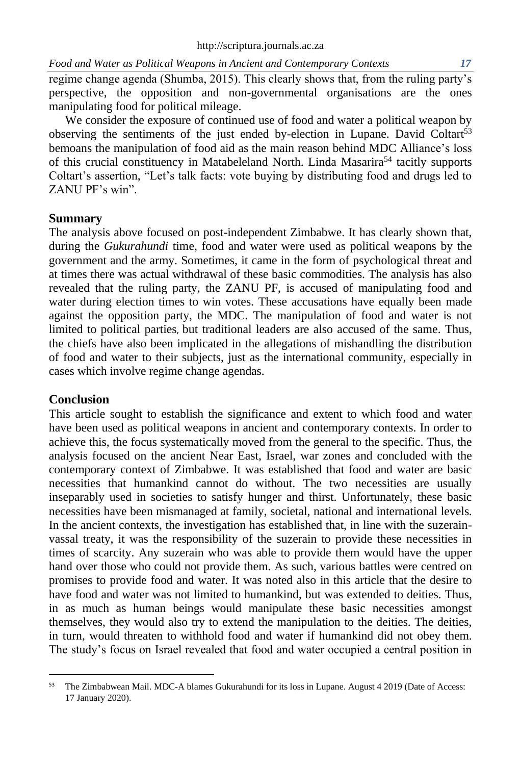regime change agenda (Shumba, 2015). This clearly shows that, from the ruling party's perspective, the opposition and non-governmental organisations are the ones manipulating food for political mileage.

We consider the exposure of continued use of food and water a political weapon by observing the sentiments of the just ended by-election in Lupane. David Coltart<sup>53</sup> bemoans the manipulation of food aid as the main reason behind MDC Alliance's loss of this crucial constituency in Matabeleland North. Linda Masarira<sup>54</sup> tacitly supports Coltart's assertion, "Let's talk facts: vote buying by distributing food and drugs led to ZANU PF's win".

# **Summary**

The analysis above focused on post-independent Zimbabwe. It has clearly shown that, during the *Gukurahundi* time, food and water were used as political weapons by the government and the army. Sometimes, it came in the form of psychological threat and at times there was actual withdrawal of these basic commodities. The analysis has also revealed that the ruling party, the ZANU PF, is accused of manipulating food and water during election times to win votes. These accusations have equally been made against the opposition party, the MDC. The manipulation of food and water is not limited to political parties, but traditional leaders are also accused of the same. Thus, the chiefs have also been implicated in the allegations of mishandling the distribution of food and water to their subjects, just as the international community, especially in cases which involve regime change agendas.

# **Conclusion**

This article sought to establish the significance and extent to which food and water have been used as political weapons in ancient and contemporary contexts. In order to achieve this, the focus systematically moved from the general to the specific. Thus, the analysis focused on the ancient Near East, Israel, war zones and concluded with the contemporary context of Zimbabwe. It was established that food and water are basic necessities that humankind cannot do without. The two necessities are usually inseparably used in societies to satisfy hunger and thirst. Unfortunately, these basic necessities have been mismanaged at family, societal, national and international levels. In the ancient contexts, the investigation has established that, in line with the suzerainvassal treaty, it was the responsibility of the suzerain to provide these necessities in times of scarcity. Any suzerain who was able to provide them would have the upper hand over those who could not provide them. As such, various battles were centred on promises to provide food and water. It was noted also in this article that the desire to have food and water was not limited to humankind, but was extended to deities. Thus, in as much as human beings would manipulate these basic necessities amongst themselves, they would also try to extend the manipulation to the deities. The deities, in turn, would threaten to withhold food and water if humankind did not obey them. The study's focus on Israel revealed that food and water occupied a central position in

<sup>53</sup> The Zimbabwean Mail. MDC-A blames Gukurahundi for its loss in Lupane. August 4 2019 (Date of Access: 17 January 2020).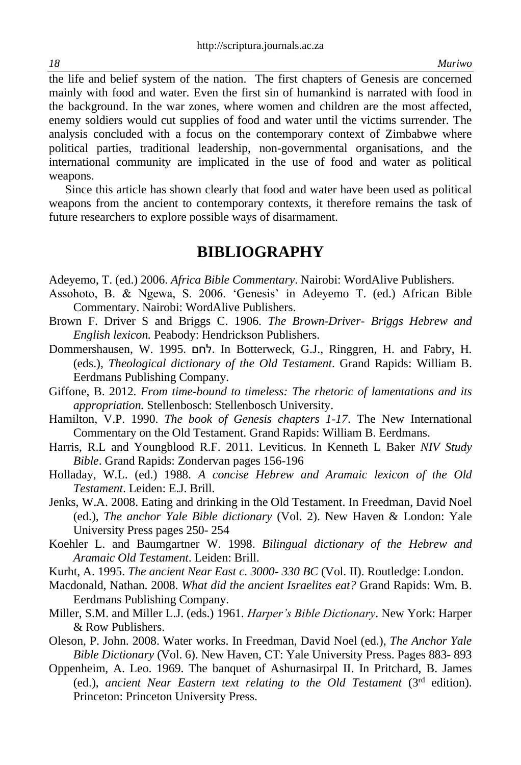the life and belief system of the nation. The first chapters of Genesis are concerned mainly with food and water. Even the first sin of humankind is narrated with food in the background. In the war zones, where women and children are the most affected, enemy soldiers would cut supplies of food and water until the victims surrender. The analysis concluded with a focus on the contemporary context of Zimbabwe where political parties, traditional leadership, non-governmental organisations, and the international community are implicated in the use of food and water as political weapons.

Since this article has shown clearly that food and water have been used as political weapons from the ancient to contemporary contexts, it therefore remains the task of future researchers to explore possible ways of disarmament.

# **BIBLIOGRAPHY**

Adeyemo, T. (ed.) 2006. *Africa Bible Commentary*. Nairobi: WordAlive Publishers.

- Assohoto, B. & Ngewa, S. 2006. 'Genesis' in Adeyemo T. (ed.) African Bible Commentary. Nairobi: WordAlive Publishers.
- Brown F. Driver S and Briggs C. 1906. *The Brown-Driver- Briggs Hebrew and English lexicon.* Peabody: Hendrickson Publishers.
- Dommershausen, W. 1995. לחם. In Botterweck, G.J., Ringgren, H. and Fabry, H*.* (eds.), *Theological dictionary of the Old Testament*. Grand Rapids: William B. Eerdmans Publishing Company.
- Giffone, B. 2012. *From time-bound to timeless: The rhetoric of lamentations and its appropriation.* Stellenbosch: Stellenbosch University.
- Hamilton, V.P. 1990. *The book of Genesis chapters 1-17*. The New International Commentary on the Old Testament. Grand Rapids: William B. Eerdmans.
- Harris, R.L and Youngblood R.F. 2011. Leviticus. In Kenneth L Baker *NIV Study Bible*. Grand Rapids: Zondervan pages 156-196
- Holladay, W.L. (ed.) 1988. *A concise Hebrew and Aramaic lexicon of the Old Testament*. Leiden: E.J. Brill.
- Jenks, W.A. 2008. Eating and drinking in the Old Testament. In Freedman, David Noel (ed.), *The anchor Yale Bible dictionary* (Vol. 2). New Haven & London: Yale University Press pages 250- 254
- Koehler L. and Baumgartner W. 1998. *Bilingual dictionary of the Hebrew and Aramaic Old Testament*. Leiden: Brill.
- Kurht, A. 1995. *The ancient Near East c. 3000- 330 BC* (Vol. II). Routledge: London.
- Macdonald, Nathan. 2008. *What did the ancient Israelites eat?* Grand Rapids: Wm. B. Eerdmans Publishing Company.
- Miller, S.M. and Miller L.J. (eds.) 1961. *Harper's Bible Dictionary*. New York: Harper & Row Publishers.
- Oleson, P. John. 2008. Water works. In Freedman, David Noel (ed.), *The Anchor Yale Bible Dictionary* (Vol. 6). New Haven, CT: Yale University Press. Pages 883- 893
- Oppenheim, A. Leo. 1969. The banquet of Ashurnasirpal II. In Pritchard, B. James (ed.), ancient Near Eastern text relating to the Old Testament (3<sup>rd</sup> edition). Princeton: Princeton University Press.